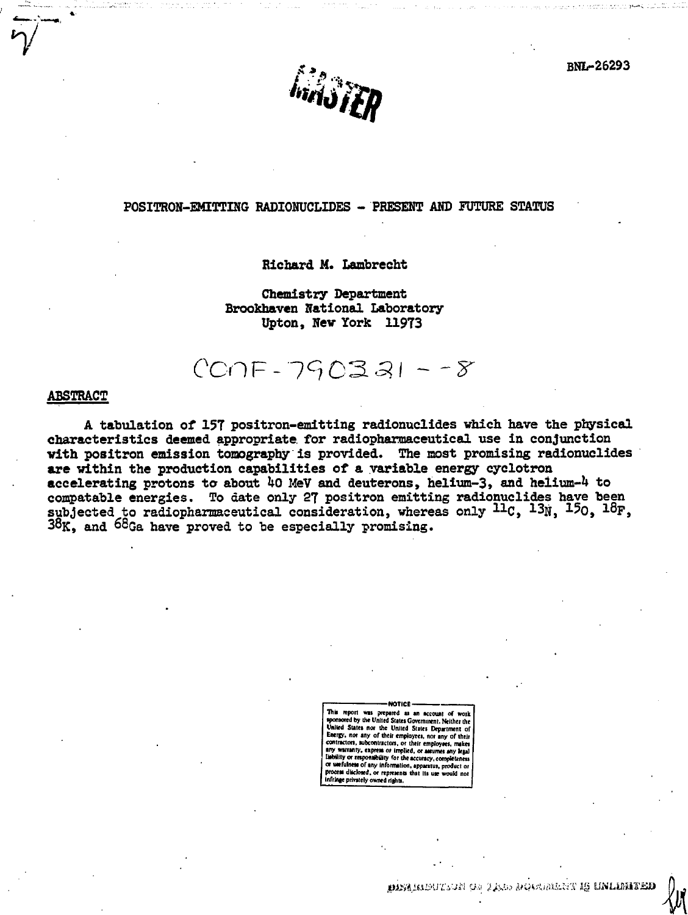**BNL-26293** 



#### POSITRON-EMITTING RADIONUCLIDES - PRESENT AND FUTURE STATUS

#### Richard M. Lambrecht

Chemistry Department Brookhaven National Laboratory Upton, New York 11973

# $CCDF - 790331 - -8$

#### **ABSTRACT**

A tabulation of 157 positron-emitting radionuclides which have the physical characteristics deemed appropriate for radiopharmaceutical use in conjunction with positron emission tomography is provided. The most promising radionuclides are within the production capabilities of a variable energy cyclotron accelerating protons to about 40 MeV and deuterons, helium-3, and helium-4 to compatable energies. To date only 27 positron emitting radionuclides have been subjected to radiopharmaceutical consideration, whereas only <sup>11</sup>C, <sup>13</sup>N, <sup>15</sup>O, <sup>18</sup>F, 38K, and 68Ga have proved to be especially promising.

> This report was prepared as an account of wor d by the United States Government. Neither the United States nor the United States Department of nor any of their employees, nor any of their Eventy, ton, su ontractors, or their employe s. makes lied, or assumes any lead mbility for the accuracy, completenes or wefulness of any information, appa disclosed, or represents that its use infringe privately owned rights

NOTICE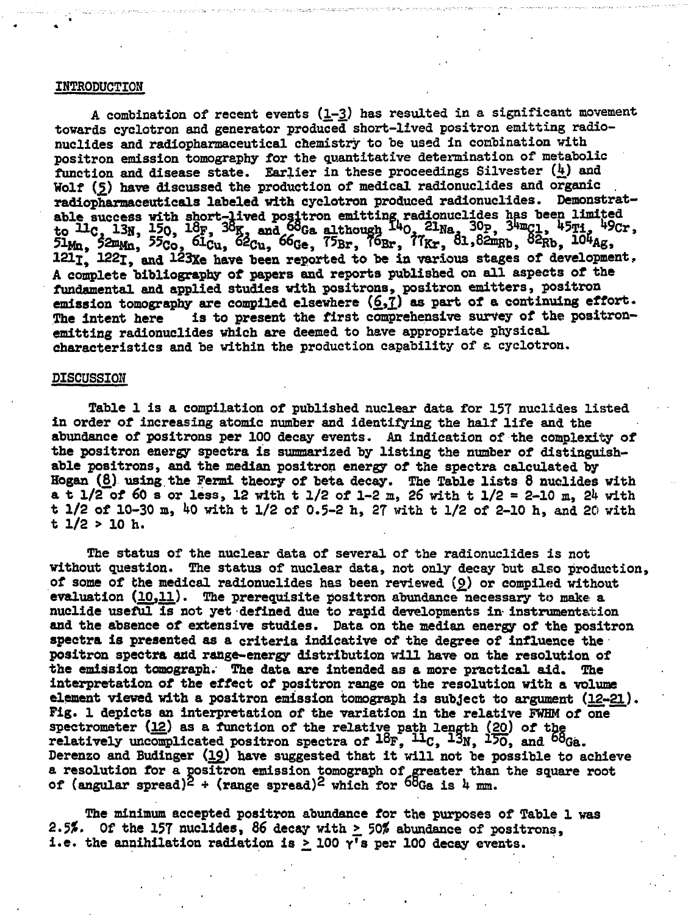#### **INTRODUCTION**

**A combination of recent events (1.-3.) has resulted in a significant movement towards cyclotron and generator produced short-lived positron emitting radionuclides and radiopharmaceutical chemistry to be used in combination with positron emission tomography for the quantitative determination of metabolic function and disease state. Earlier in these proceedings Silvester (k) and Wolf (£) have discussed the production of medical radionuclides and organic . radiopharmaceuticals labeled with cyclotron produced radionuclides. Demonstratable success with short-lived positron emitting, radionuclides has been limited to Uc , 13», 150, 18F, 3 % and^G a although »0 , 21Na. 30<sup>P</sup> <sup>j</sup> 3tagi, U5Ti. ^Cr , 5l!fa, 52mMn, 55Co, <sup>63</sup>-Cu, 6lC u , 66<5e, 75Br, T6Br, tTRr, ol,82mRb, 82Rb, 10\*A g , lZLjt 122i, and 123xe have been reported to be in various stages of development, A cosrplete bibliography of papers and reports published on all aspects of the fundamental and applied studies with positrons, positron emitters, positron** emission tomography are compiled elsewhere  $(6,7)$  as part of a continuing effort. The intent here is to present the first comprehensive survey of the positron**emitting radionuclides which are deemed to have appropriate physical characteristics and be within the production capability of a cyclotron.**

#### **DISCUSSION**

**Table 1 is a compilation of published nuclear data for 157 nudides listed in order of increasing atomic number and identifying the half life and the abundance of positrons per 100 decay events. An indication of the complexity of the positron energy spectra is summarized by listing the number of distinguishable positrons, and the median positron energy of the spectra calculated by Hogan (8) using the Fermi theory of beta decay. The Table lists 8 nuclides with a t 1/2 of 60 s or less, 12 with t 1/2 of 1-2 m, 26 with t 1/2 = 2-10 m, 2k with t 1/2 of 10-30 a, kO with t 1/2 of 0.5-2 h, 27 with t 1/2 of 2-10 h, and 20 with t 1/2 > 10 h.**

**The status of the nuclear data of several of the radionuclides is not without question. The status of nuclear data, not only decay but also production, of some of the medical radionuclides has been reviewed (£) or compiled without evaluation (10,11).** The prerequisite positron abundance necessary to make a **nuclide useful is not yet defined due to rapid developments in- instrumentation and the absence of extensive studies. Data on the median energy of the positron spectra is presented as a criteria indicative of the degree of influence the positron spectra and range-energy distribution will have on the resolution of the emission tomograph.' The data are intended as a more practical aid. The interpretation of the effect of positron range on the resolution with a volume element viewed with a positron emission tomograph is subject to argument (12,-21). Fig. 1 depicts an interpretation of the variation in the relative FWHM of one spectrometer {12} as a function of the relative path length (20) of the** relatively uncomplicated positron spectra of  $18F$ ,  $11C$ ,  $13N$ ,  $150$ , and  $68Ga$ . **Derenzo and Budinger (l£) have suggested that it will not be possible to achieve a resolution for a positron emission tomograph of greater than the square root of (angular spread)\* + (range spread)<sup>2</sup> which for °OGa is h mm.**

**The minimum accepted positron abundance for the purposes of Table 1 was 2.5S». Of the 157 nuclides, 86 decay with >. 5OJ5 abundance of positrons,** i.e. the annihilation radiation is  $>$  100  $\gamma$ <sup>r</sup>s per 100 decay events.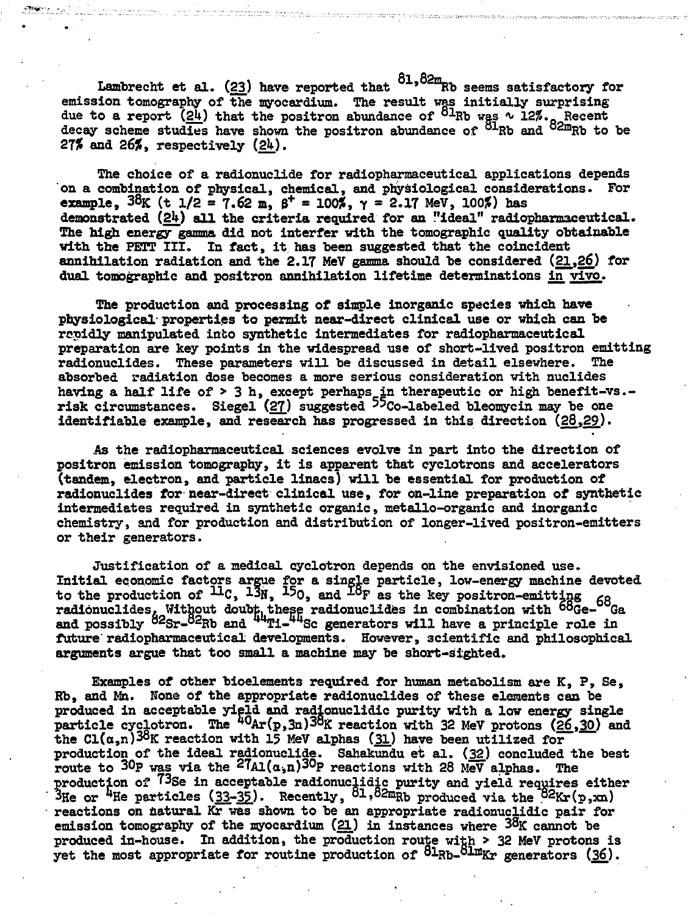Lambrecht et al. (23) have reported that  $^{81,82m}$ Rb seems satisfactory for **emission tomography of the myocardium. The result was initially surprising due to a report (2U} that the positron abundance of 8lRb was \* 12/!.- Recent decay scheme studies have shown the positron abundance of °<sup>1</sup>Rb and °2mRb to be 27% and 26%, respectively (2U).**

**The choice of a radionuclide for radiopharmaceutical applications depends on a combination of physical, chemical, and physiological considerations. For example, 38 K (t 1/2 • 7.62 m, 6\* - 1OOJS, Y • 2.17 MeV, 100?) has demonstrated (2U) all the criteria required for an "ideal" radiopharmaceutical. The high energy gamma did not interfer with the tomographic quality obtainable with the PETT III. In fact, it has been suggested that the coincident annihilation radiation and the 2.17 MeV gamma should be considered (21,26) for dual tomographic and positron annihilation lifetime determinations in vivo.**

**The production and processing of simple inorganic species which have physiological properties to permit near-direct clinical use or which can be rapidly manipulated into synthetic intermediates for radiopharmaceutical preparation are key points in the widespread use of short-lived positron emitting radionuclides. These parameters will be discussed in detail elsewhere. The absorbed radiation dose becomes a more serious consideration with nuclides having a half life of > 3 h, except perhaps in therapeutic or high benefit-vs. risk circumstances. Siegel (2J\_) suggested "co-labeled bleomycin may be one identifiable example, and research has progressed in this direction (28,29).**

**As the radiopharmaceutical sciences evolve in part into the direction of positron emission tomography, it is apparent that cyclotrons and accelerators (tandem, electron, and particle linacs) will be essential for production of radionuclides for near-direct clinical use, for on-line preparation of synthetic intermediates required in synthetic organic, metallo-organic and inorganic chemistry, and for production and distribution of longer-lived positron-emitters or their generators.**

**Justification of a medical cyclotron depends on the envisioned use. Initial economic factors argue for a single particle, low-energy machine devoted** to the production of <del>™</del>C, <sup>13</sup>H, <sup>17</sup>O, and <sup>⊥O</sup>F as the key positron-emitting <sub>60</sub> **radibnuclides. Without doubt, these radionuclides in combination with °°Ge- Ga and possibly "^Sr-°^Wa and Ti- ^Sc generators will have a principle role in future'radiopharmaceutical developments. However, scientific and philosophical arguments argue that too small a machine may be short-sighted.**

**Examples of other bioelements required for human metabolism are K, P, Se, Rb, and Mh. None of the appropriate radionuclides of these elements can be produced in acceptable yield and radionuclidic purity with a low energy single** particle cyclotron. The  $^{40}Ar(p,3n)38$ K reaction with 32 MeV protons (26,30) and the  $Cl(\alpha,n)$ <sup>38</sup>K reaction with 15 MeV alphas (31) have been utilized for **production of the ideal radionuclide. Sahakundu et al. (32.) concluded the best route to 30p yas via the <sup>2</sup>7Al(o-,n)<sup>3</sup>°p reactions with 28 MeV alphas. The production of T3se in acceptable radionuclidic purity and yield requires either 3He or % e particles (33-3J.). Recently, 8l,82mHb produced via the <sup>82</sup>Kr(p,xn) reactions on natural Kr was shown to be an appropriate radionuclidic pair for emission tomography of the myocardium (21.) in instances where 38 K cannot be produced in-house. In addition, the production route with > 32 MeV protons is yet the most appropriate for routine production of 8lRb-8linKr generators (36).**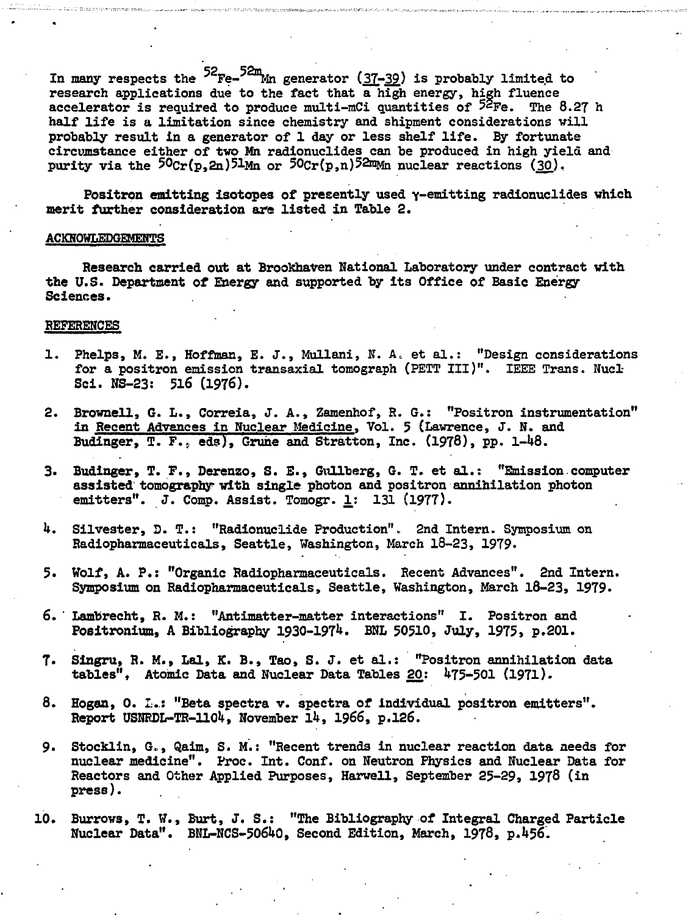In many respects the  $52$ <sub>Fe-</sub> $52m$ <sub>Mn</sub> generator ( $37-39$ ) is probably limited to **research applications due to the fact that a high energy, high fluence accelerator is required to produce multi-mCi quantities of 52pe# The 8.27 h half life is a limitation since chemistry and shipment considerations will probably result in a generator of 1 day or less shelf life. By fortunate circumstance either of two Mn radionuclides can be produced in high yield and** purity via the 50<sub>Cr</sub>(p,2n)5lMn or 50cr(p,n)52mMn nuclear reactions (30).

Positron emitting isotopes of presently used  $\gamma$ -emitting radionuclides which **merit further consideration are listed in Table 2.**

#### **ACKNOWLEDGEMENTS**

**Research carried out at BrooKhaven National Laboratory under contract with the U.S. Department of Energy and supported by its Office of Basic Energy Sciences.**

#### **REFERENCES**

- **1. Phelps, M. E., Hoffman, E. J., Mullani, N. A., et al.: "Design considerations** for a positron emission transaxial tomograph (PETT III)". IEEE Trans. Nucl-**Sci. NS-23: 516 (1976).**
- **2. Brownell, 6. L., Correia, J. A., Zamenhof, R. G.: "Positron instrumentation" in Recent Advances in Nuclear Medicine, Vol. 5 (Lawrence, J. N. and** Budinger, T. F., eds), Grune and Stratton, Inc. (1978), pp. 1-48.
- 3. Budinger, T. F., Derenzo, S. E., Gullberg, G. T. et al.: "Emission computer **assisted tomography with single photon and positron annihilation photon emitters". J. Comp. Assist. Tomogr. 1,: 131 (1977).**
- **h. Silvester, D. T.: "Radionuclide Production". 2nd Intern. Symposium on Radiopharmaceuticals, Seattle, Washington, March 18-23, 1979.**
- **5. Wolf, A. P.: "Organic Radiopharmaceuticals. Recent Advances". 2nd Intern. Symposium on Radiopharmaceuticals, Seattle, Washington, March 18-23, 1979.**
- **6. ' Lambrecht, R. M.: "Antimatter-matter interactions" I. Positron and Positroniura, A Bibliography 1930-197<sup>1</sup>\*. BNL 50510, July, 1975, p.201.**
- **7. Singru, R. M., Lai, K. B., Tao, S. J. et al.: "Positron annihilation data tables", Atomic Data and Nuclear Data Tables 20: 1\*75-501 (1971).**
- **8. Hogaa, 0. I..: "Beta spectra v. spectra of individual positron emitters". Report USNRDL-TR-llOk, November lk, 1966, p.126.**
- **9. Stocklin, G.,, Qaim, S. M.: "Recent trends in nuclear reaction data needs for nuclear medicine". Proc. Int. Conf. on Neutron Physics and Nuclear Data for Reactors and Other Applied Purposes, Harwell, September 25-29, 1978 (in press).**
- **10. Burrows, T. W., Burt, J. S.: "The Bibliography of Integral Charged Particle Nuclear Data". BNL-NCS-5O6fcO, Second Edition, March, 1978, p.l»56.**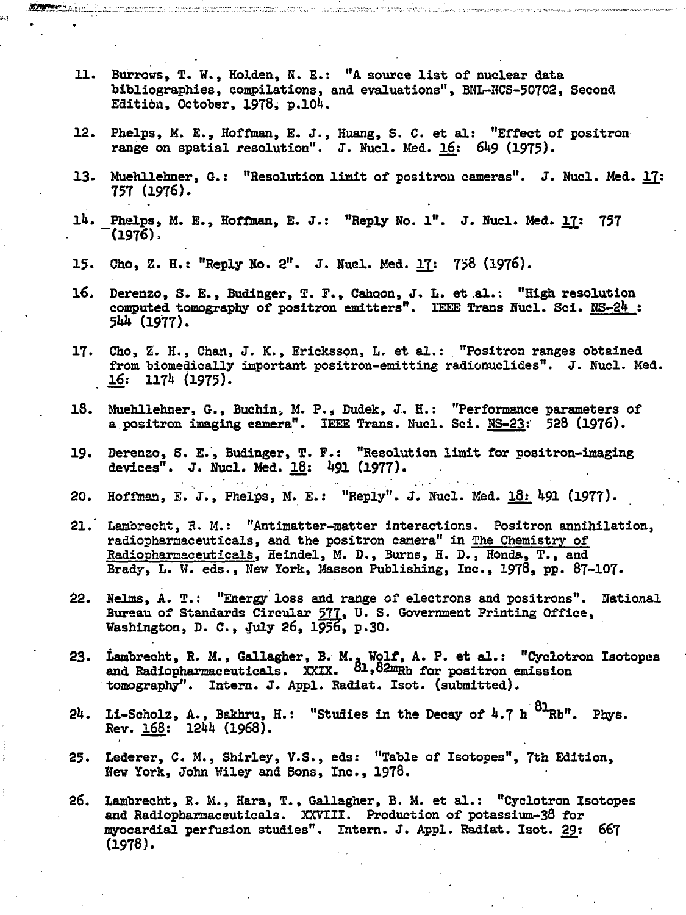- 11. Burrows, T. W., Holden, N. E.: "A source list of nuclear data bibliographies, compilations, and evaluations", BNL-NCS-50702, Second Edition, October,  $1978$ , p.104.
- 12. Phelps, M. E., Hoffman, E. J., Huang, S. C. et al: "Effect of positron range on spatial resolution". J. Nucl. Med. 16: 649 (1975).
- 13. Muehllehner, G.: "Resolution limit of positron cameras". J. Nucl. Med. 17: 757 (1976).
- 14. Phelps, M. E., Hoffman, E. J.: "Reply No. 1". J. Nucl. Med. 17: 757 "(1976),
- 15. Cho, Z. H.: "Reply No. 2". J. Nuel. Med. II: 758 (1976).
- 16. Derenzo, S. E., Budinger, T. F., Cahoon, J. L. et al.: "High resolution computed tomography of positron emitters". IEEE Trans Nucl. Sci. NS-2lt : W (1977).
- 17. Cho, Z. H., Chan, J. K., Ericksson, L. et al.: "Positron ranges obtained from biomedically important positron-emitting radionuclides". J. Nucl. Med.  $16: 1174 (1975).$
- 18. Muehllehner, G., Buchin, M. P., Dudek, J. H.: "Performance parameters of a positron imaging camera". IEEE Trans. Nucl. Sci. NS-23: 528 (1976).
- 19. Derenzo, S. E., Budinger, T. F.: "Resolution limit for positron-imaging devices". J. Nucl. Med. 18: 491 (1977).
- 20. Hoffman, F. J., Phelps, M. E.: "Reply". J. Nucl. Med. 18: 491 (1977).
- 21. Lambrecht, R. M.: "Antimatter-matter interactions. Positron annihilation, radiopharaaceuticals, and the positron camera" in The Chemistry of Radiopharmaceuticals, Heindel, M. D., Burns, H. D., Honda, T., and Brady, L. W. eds., New York, Masson Publishing, Inc., 1978, pp. 87-107.
- 22. Nelms, A. T.: "Energy loss and range of electrons and positrons". National Bureau of Standards Circular 577, U.S. Government Printing Office, Washington, D. C., July 26, 1956, p.30.
- 23. Lambrecht, R. M., Gallagher, B. M., Wolf, A. P. et al.: "Cyclotron Isotopes and Radiopharmaceuticals. XXIX. <sup>01,82m</sup>Rb for positron emission tomography". Intern. J. Appl. Radiat. Isot. (submitted).
- $24.$  Li-Scholz, A., Bakhru, H.: "Studies in the Decay of  $4.7 h^{81}$ Rb". Phys.  $Rev. 168: 1244 (1968).$
- 25. Lederer, C. M., Shirley, V.S., eds: "Table of Isotopes", 7th Edition, New York, John Wiley and Sons, Inc., 1978.
- 26. Lambrecht, R. M., Hara, T., Gallagher, B. M. et al.: "Cyclotron Isotopes and Radiopharmaceuticals. XXVIII. Production of potassium-38 for myocardial perfusion studies". Intern. J. Appl. Radiat. Isot. 29: 667 (1978).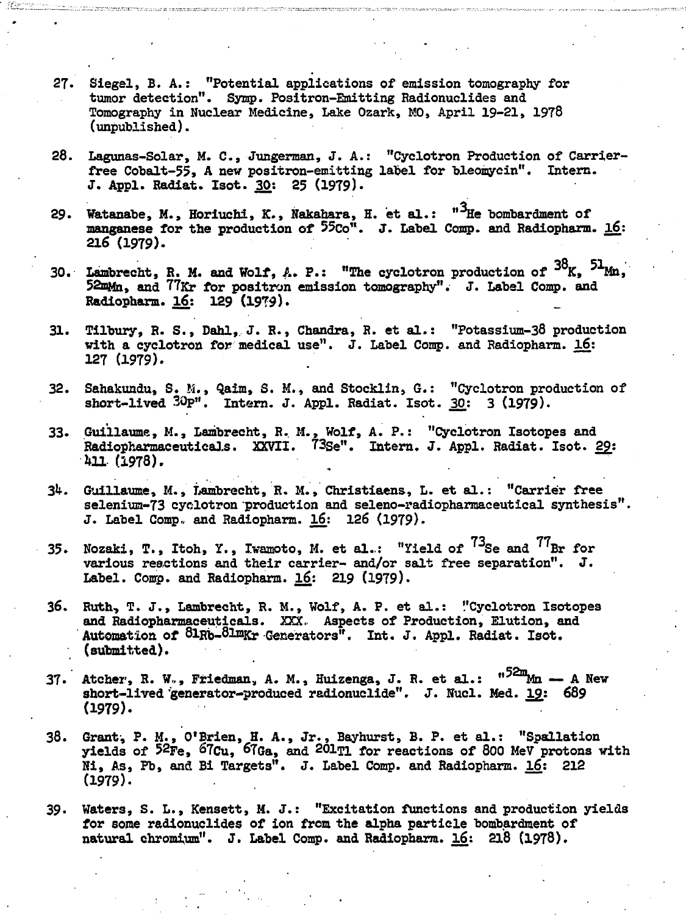- **27- Siegel, B. A.: "Potential applications of emission tomography for tumor detection". Symp. Positron-Emitting Radionuclides and Tomography in Nuclear Medicine, Lake Ozark, MO, April 19-21, 1978 (unpublished).**
- **28. Lagunas-Solar, M. C , Jungerman, J. A.: "Cyclotron Production of Carrierfree Cobalt-55, A new positron-emitting label for bleomyein". Intern. J. Appl. Radiat. Isot. 30: 25 (1979).**
- **29. Watanabe, M., Horiuchi, K., Nakahara, H. et al.: "Tie bombardment of manganese for the production of 55co". J. Label Comp. and Radiopharm. 16: 216 (1979).**
- 30. Lambrecht, R. M. and Wolf, A. P.: "The cyclotron production of <sup>30</sup>K, <sup>31</sup>Mn, **52mMn, and 77Kr for positron emission tomography". J. Label Comp. and Radiopharm. 16: 129 (19T9).**
- **31. Tilbury, R. S., Dahl, J. R., Chandra, R. et al.: "Potassium-38 production** with a cyclotron for medical use". J. Label Comp. and Radiopharm. 16: **127 (1979).**
- **32. Sahakundu, S. M., Qaim, S. M., and Stocklin, G.: "Cyclotron production of short-lived 30p". Intern. J. Appl. Radiat. Isot. 30: 3 (1979).**
- **33. Guillaume, M., Lambrecht, R. M., Wolf, A. P.: "Cyclotron Isotopes and Radiopharmaceutieals. XXVII. 73se". Intern. J. Appl. Radiat. Isot. 2£:**  $411.$  (1978).
- **3k. Guillaume, M., Lambrecht, R. M., Christiaens, L. et al.: "Carrier free selenium-73 cyclotron production and seleno-radiopharmaceutical synthesis". J. Label Comp, and Radiopharm. l£: 126 (1979).**
- **35.** Nozaki, T., Itoh, Y., Iwamoto, M. et al.: "Yield of <sup>15</sup>Se and <sup>11</sup>Br for **various reactions and their carrier- and/or salt free separation". J.** Label. Comp. and Radiopharm. 16: 219 (1979).
- **36. Ruth, T. J., Lambrecht, R. M., Wolf, A. P. et al.: "Cyclotron Isotopes and Radiopharmaeeutieals. XXX, Aspects of Production, Elution, and Automation of 8lRb-8lmKr Generators". Int. J. Appl. Radiat. Isot. (submitted).**
- 37. Atcher, R. W., Friedman, A. M., Huizenga, J. R. et al.: "<sup>52m</sup>Mn A New short-lived generator-produced radionuclide". J. Nucl. Med. 19: 689 **(1979).**
- **38. Grant', P. M., O'Brien, H. A., Jr., Bayhurst, B. P. et al.: "Spallation yields of 52Fe, ^7Cu, ^7Ga, and 201^1 for reactions of 800 MeV protons with Hi, As, Pb, and Bi Targets". J. Label Comp. and Radiopharm. 16: 212 (1979).**
- **39. Waters, S. L., Kensett, M. J.: "Excitation functions and production yields for some radionuclides of ion from the alpha particle bombardment of natural chromium". J. Label Comp. and Radiopharm. l6.: 218 (1978).**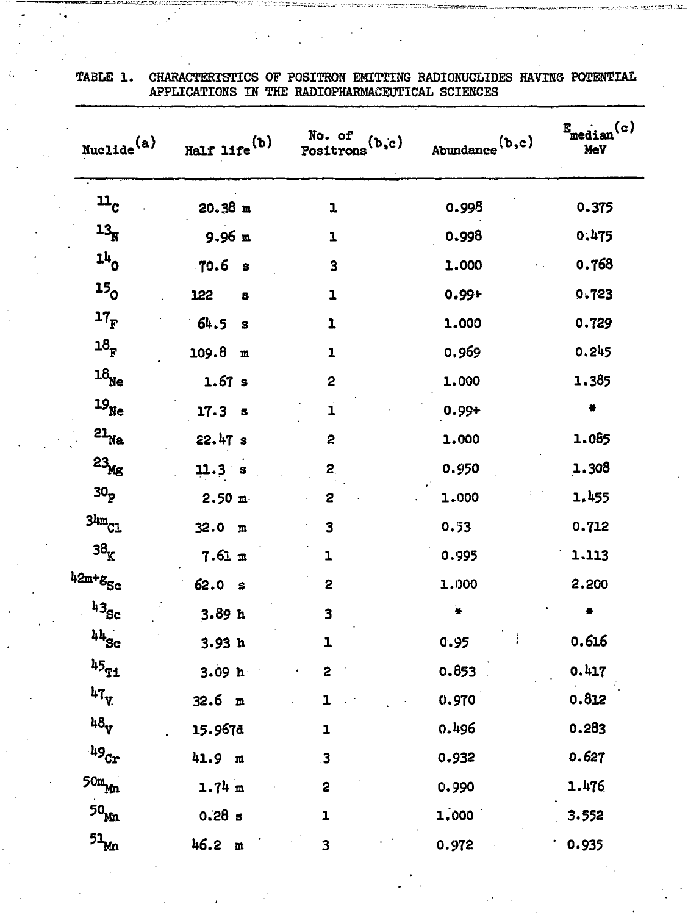| Nuclide <sup>(a)</sup>        | $_{\rm{Half~life}}({\it{b}})$ | No. of<br>(b,c)<br>Positrons | Abundance <sup>(b,c)</sup> | (c)<br>$\mathbf{E}_{\text{median}}$<br>MeV |
|-------------------------------|-------------------------------|------------------------------|----------------------------|--------------------------------------------|
| $\mathbf{u}_{\rm c}$          | $20.38$ m                     | ı                            | 0.998                      | 0.375                                      |
| $13_{\text{N}}$               | $9.96$ m                      | ı                            | 0.998                      | 0.475                                      |
| $11$ 0                        | 70.6 <sub>s</sub>             | 3                            | 1.000                      | 0.768                                      |
| 15 <sub>o</sub>               | 122<br>s                      | $\mathbf{1}$                 | $0.99 +$                   | 0.723                                      |
| $17_F$                        | 64.5<br>з                     | ı                            | 1.000                      | 0.729                                      |
| $\mathbf{18}_\mathrm{F}$      | 109.8<br>m                    | 1                            | 0.969                      | 0.245                                      |
| $\mathbf{^{18}_{Ne}}$         | 1.67 s                        | 2                            | 1.000                      | 1.385                                      |
| $^{19}$ $\rm{Ne}$             | 17.3 <sub>5</sub>             | ı                            | $0.99 +$                   | ٠                                          |
| $\mathsf{21}_{\mathtt{Na}}$   | 22.47 s                       | 2                            | 1.000                      | 1.085                                      |
| $23_{\rm Mg}$                 | 11.3 s                        | 2.                           | 0.950                      | 1.308                                      |
| 30 <sub>p</sub>               | 2.50 m                        | 2                            | 1.000                      | 1.455                                      |
| $34m$ $C1$                    | 32.0 m                        | 3                            | 0.53                       | 0.712                                      |
| $\mathbf{38}_\mathrm{K}$      | 7.61 m                        | ı                            | 0.995                      | 1.113                                      |
| 42m+g <sub>Sc</sub>           | 62.0 s                        | 2                            | 1.000                      | 2,200                                      |
| $43_{\rm Sc}$                 | 3.89h                         | 3                            | ò₿.                        |                                            |
| $44$ Sc                       | 3.93h                         | ı                            | 0.95                       | 0.616                                      |
| $\mathfrak{b}5_{\mathtt{Ti}}$ | 3.09 <sub>h</sub>             | 2                            | 0.853                      | 0.417                                      |
| $47\frac{1}{V}$               | 32.6 m                        | ı.                           | 0.970                      | 0.812                                      |
| 48 <sub>V</sub>               | 15.967d                       | $\mathbf{1}$                 | 0.496                      | 0.283                                      |
| $49_{\rm Cr}$                 | 41.9 m                        | $\cdot$ 3                    | 0.932                      | 0.627                                      |
| $50m_{\text{Mn}}$             | $1.74 \text{ m}$              | $\overline{\mathbf{c}}$      | 0.990                      | 1.476                                      |
| 50 <sub>Man</sub>             | $0.28$ s                      | ı                            | 1,000                      | 3.552                                      |
| $51\text{Mn}$                 | 46.2 m                        | 3                            | 0.972                      | 0.935                                      |

TABLE 1. CHARACTERISTICS OF POSITRON EMITTING RADIONUCLIDES HAVING POTENTIAL APPLICATIONS IN THE RADIOPHARMACEUTICAL SCIENCES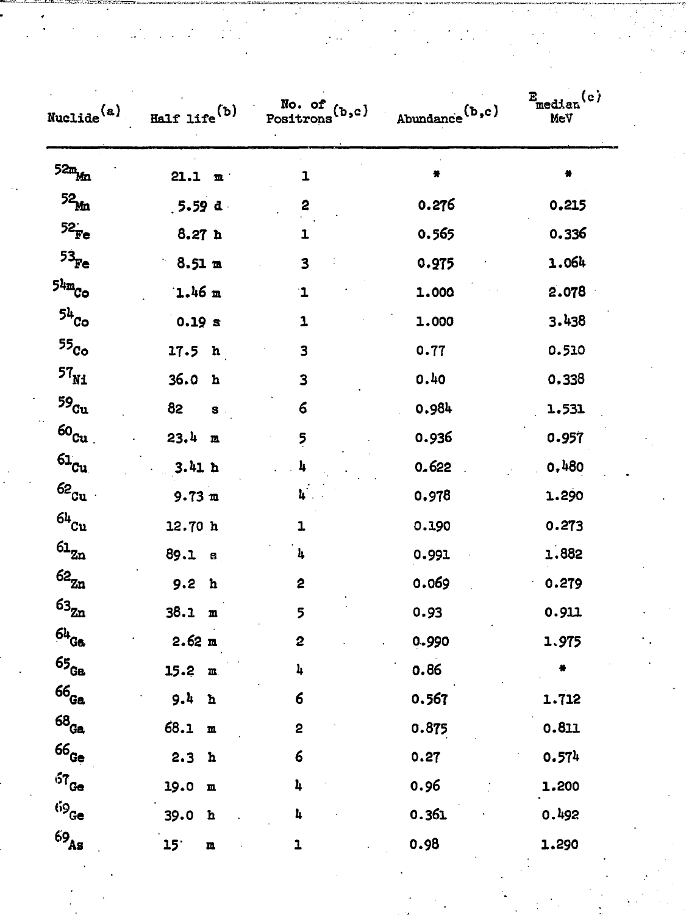| $Nucle^{(a)}$                          | Half life $(b)$                | No. of $(b,c)$<br>Positrons | Abundance $(b, c)$ | $E_{\text{median}}(e)$<br>MeV |
|----------------------------------------|--------------------------------|-----------------------------|--------------------|-------------------------------|
| $52m_{Mn}$                             | 21.1 m                         | 1                           | ilde               | 븕                             |
| $52_{\rm Mn}$                          | 5.59 d                         | 2                           | 0.276              | 0.215                         |
| $52^{\circ}_{Fe}$                      | 8.27h                          | ı                           | 0.565              | 0.336                         |
| $53Fe$                                 | $8.51 \text{ m}$               | 3                           | 0.975              | 1.064                         |
| $5^{\mathrm{4m}}$ Co                   | $1.46$ m                       | ı                           | 1.000              | 2.078                         |
| 54c <sub>o</sub>                       | 0.19 s                         | 1                           | 1.000              | 3.438                         |
| 55 <sub>Co</sub>                       | 17.5 <sub>h</sub>              | 3                           | 0.77               | 0.510                         |
| $\mathbf{^{57}_{Ni}}$                  | 36.0<br>$\mathbf{h}$           | 3                           | 0.40               | 0.338                         |
| $^{59}$ $\rm{Cu}$                      | 82<br>$\mathbf{s}$ .           | 6                           | 0.984              | 1.531                         |
| $\rm 60_{Cu}$                          | 23.4 m                         | $\overline{5}$              | 0.936              | 0.957                         |
| $61_{Cu}$                              | 3.41h                          | 4                           | 0.622              | 0.480                         |
| $62_{\rm cu}$                          | $9.73 \text{ m}$               | 4.                          | 0.978              | 1.290                         |
| $^{64}$ $\rm{Cu}$                      | 12.70 h                        | 1                           | 0.190              | 0.273                         |
| $\mathbf{61}_{\mathtt{Zn}}$            | 89.1 <sub>8</sub>              | 4                           | 0.991              | 1.882                         |
| $\mathbf{62}_{\mathbf{Zn}}$            | 9.2<br>h                       | 2                           | 0.069              | 0.279                         |
| $\mathbf{^{63}_{Zn}}$                  | 38.1 m                         | 5                           | 0.93               | 0.911                         |
| $64$ Ga                                | 2.62 m                         | 2                           | 0.990              | 1.975                         |
| $\mathfrak{65}_{\mathbb{G}\mathbf{a}}$ | $15.2 \, m$                    | 4                           | 0.86               |                               |
| $\mathbf{66_{Ga}}$                     | 9.4<br>h                       | $6\phantom{1}6$             | 0.567              | 1.712                         |
| $68$ Ga                                | 68.1<br>$\mathbf m$            | 2                           | 0.875              | 0.811                         |
| $\mathsf{66}_\mathsf{Ge}$              | 2.3<br>$\mathbf h$             | $\boldsymbol{6}$            | 0.27               | 0.574                         |
| $57$ Ge                                | 19.0<br>$\mathbf m$            | $\pmb{\lambda}$             | 0.96               | 1.200                         |
| $69_{\small{\text{Ge}}}$               | 39.0<br>$\mathbf h$            | 4                           | 0.361              | 0.492                         |
| $69_{\rm As}$                          | 15 <sup>°</sup><br>$\mathbf m$ | $\mathbf{I}$                | 0.98               | 1.290                         |
|                                        |                                |                             |                    |                               |
|                                        |                                |                             |                    |                               |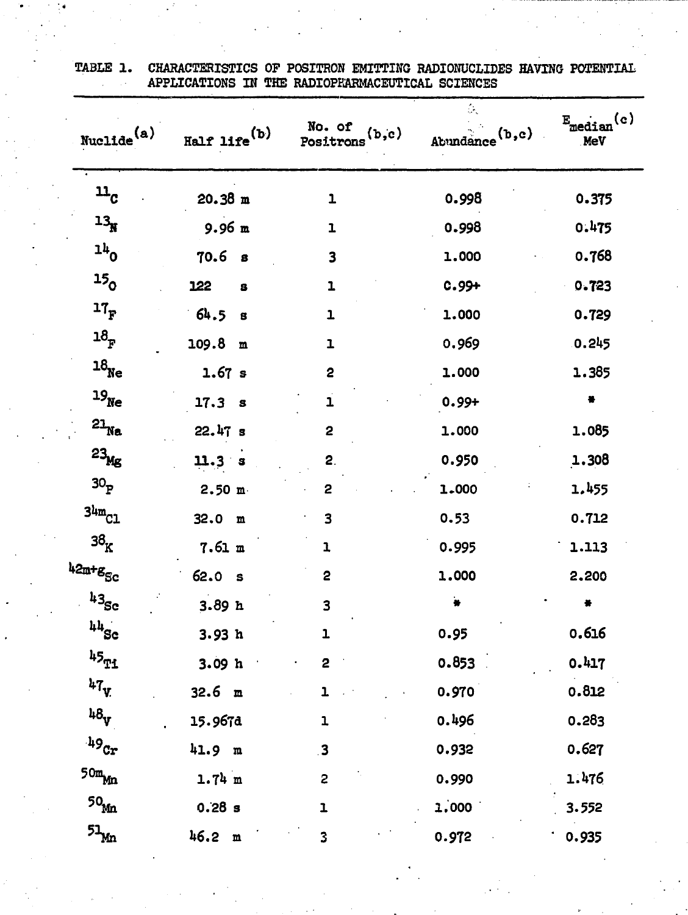| $\text{Nucilde}^{\text{(a)}}$            | $_{\rm{Half~life}}({\it{b}})$ | No. of<br>(b,c)<br>Positrons | Ó,<br>Abundance <sup>(b,c)</sup> | (c)<br>$E$ <sub>median</sub><br>MeV |
|------------------------------------------|-------------------------------|------------------------------|----------------------------------|-------------------------------------|
| $\mathbf{u}_{\rm c}$                     | 20.38 m                       | $\mathbf{1}$                 | 0.998                            | 0.375                               |
| $13_{\text{N}}$                          | $9.96 \text{ m}$              | ı                            | 0.998                            | 0.475                               |
| $11$ 0                                   | 70.6<br>8                     | $\overline{\mathbf{3}}$      | 1.000                            | 0.768                               |
| 15 <sub>o</sub>                          | 122<br>s                      | ı                            | $0.99 +$                         | 0.723                               |
| $17_F$                                   | 64.5<br>$\mathbf{s}$          | ı                            | 1.000                            | 0.729                               |
| $\mathbf{18}_\mathrm{F}$                 | 109.8<br>$\mathbf{m}$         | ı                            | 0.969                            | 0.245                               |
| $\mathbf{^{18}_{Ne}}$                    | 1.67 s                        | 2                            | 1.000                            | 1.385                               |
| $^{19}$ $\mathrm{Ne}$                    | 17.3 s                        | ı                            | $0.99 +$                         | ۰                                   |
| $21$ <sub>Na</sub>                       | 22.47 s                       | 2                            | 1.000                            | 1.085                               |
| $23_{\text{Mg}}$                         | 11.3 s                        | 2.                           | 0.950                            | 1.308                               |
| 30 <sub>p</sub>                          | 2.50 m                        | 2                            | 1.000                            | 1.455                               |
| 3 <sup>4</sup> m <sub>C1</sub>           | 32.0 m                        | 3                            | 0.53                             | 0.712                               |
| 3 $\rm ^3K$                              | 7.61 m                        | ı                            | 0.995                            | 1.113                               |
| 42m+g <sub>Sc</sub>                      | 62.0 s                        | 2                            | 1.000                            | 2.200                               |
| $43_{\rm Sc}$                            | 3.89h                         | 3                            |                                  |                                     |
| $\mathfrak{u}\mathfrak{u}_{\mathtt{Sc}}$ | 3.93h                         | ı                            | 0.95                             | 0.616                               |
| $\mathfrak{u}_{\mathfrak{I}_{1}}$        | 3.09h                         | 2                            | 0.853                            | 0.417                               |
| $47$ v                                   | 32.6 m                        |                              | 0.970                            | 0.812                               |
| 48 <sub>V</sub>                          | 15.967d                       | $\mathbf 1$                  | 0.496                            | 0.283                               |
| $^{149}\mathrm{Cr}$                      | 41.9 m                        | $\overline{\mathbf{3}}$      | 0.932                            | 0.627                               |
| $50m$ <sub>Mn</sub>                      | $1.74 \text{ m}$              | 2                            | 0.990                            | 1.476                               |
| $\mathsf{50}_{\mathsf{M}\!\mathsf{n}}$   | 0.28 s                        | ı                            | 1,000                            | 3.552                               |
| $51\text{Mn}$                            | 46.2 m                        | 3                            | 0.972                            | 0.935                               |

TABLE 1. CHARACTERISTICS OF POSITRON EMITTING RADIONUCLIDES HAVING POTENTIAL APPLICATIONS IN THE RADIOPHARMACEUTICAL SCIENCES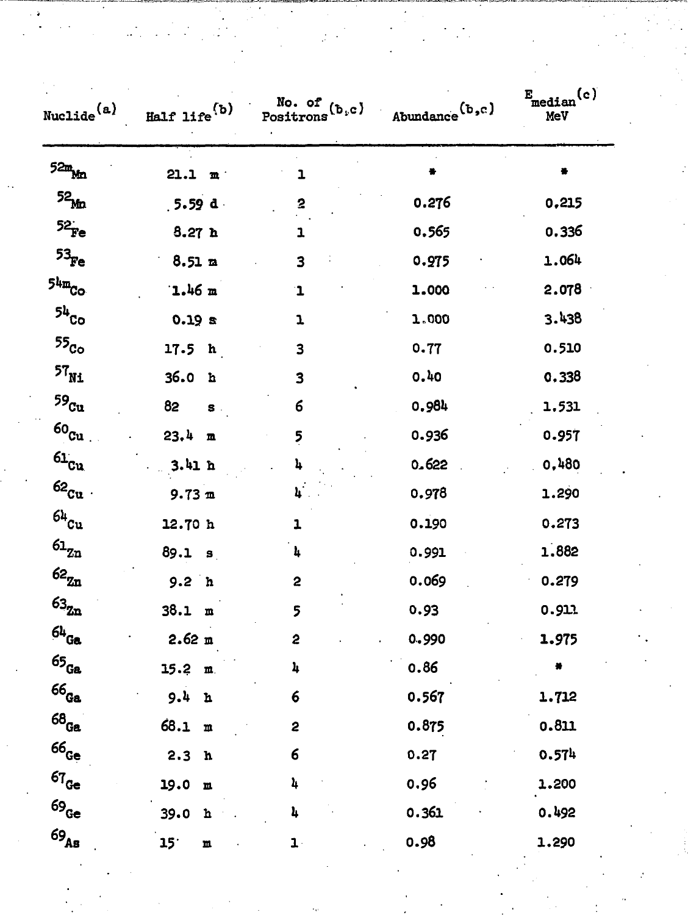| $\texttt{Nucilde}^{\texttt{(a)}}$ | Half life $(b)$       | No. of $(b,c)$<br>Positrons | Abundance $(b, c)$ | $E_{\text{median}}(c)$<br>MeV |
|-----------------------------------|-----------------------|-----------------------------|--------------------|-------------------------------|
| $52m_{Mn}$                        | 21.1 m                | ı                           |                    |                               |
| 52 <sub>Mn</sub>                  | $, 5.59$ d.           | 2                           | 0.276              | 0.215                         |
| $52$ Fe                           | 8.27h                 | 1                           | 0.565              | 0.336                         |
| $53_{\rm Fe}$                     | $8.51 \; \text{m}$    | 3                           | 0.975              | 1.064                         |
| $54m$ <sub>Co</sub>               | $1.46 \text{ m}$      | $\mathbf 1$                 | 1.000              | 2.078                         |
| $54$ Co                           | 0.19 s                | T                           | 1.000              | 3.438                         |
| $55_{\rm Co}$                     | 17.5 h                | 3                           | 0.77               | 0.510                         |
| $\mathbf{^{57}_{Ni}}$             | 36.0<br>h             | 3                           | 0.40               | 0.338                         |
| $^{59}\!{\rm Cu}$                 | 82<br>$S$ .           | 6                           | 0.984              | 1.531                         |
| $\rm{60_{Cu}}$                    | 23.4<br>$\mathbf m$   | 5                           | 0.936              | 0.957                         |
| $61_{Cu}$                         | 3.41h                 | 4                           | 0.622              | 0,480                         |
| $62_{\text{Cu}}$ .                | $9.73 \text{ m}$      | 4                           | 0.978              | 1.290                         |
| $^{64}$ $\rm{Cu}$                 | 12.70 h               | ı                           | 0.190              | 0.273                         |
| $\mathbf{^{61}z_n}$               | 89.1 s                | 4                           | 0.991              | 1.882                         |
| $\mathbf{62}_{\mathbf{Zn}}$       | 9.2 <sub>h</sub>      | 2                           | 0.069              | 0.279                         |
| $\mathbf{63_{Zn}}$                | 38.1 m                | 5                           | 0.93               | 0.911                         |
| $^{64}$ Ga                        | 2.62 m                | 2                           | 0.990              | 1.975                         |
| $\mathfrak{65}_\mathsf{Ga}$       | 15.2 m                | 4                           | 0.86               |                               |
| $^{66}$ Ga                        | 9.4 h                 | 6                           | 0.567              | 1.712                         |
| $^{68}\!$ Ga                      | 68.1<br>$\mathfrak m$ | 2                           | 0.875              | 0.811                         |
| $66_{\rm Ge}$                     | 2.3 <sub>h</sub>      | 6                           | 0.27               | 0.574                         |
| $67_{Ge}$                         | 19.0<br>$\mathbf m$   | 4                           | 0.96               | 1.200                         |
| $69_{Ge}$                         | 39.0<br>$\mathbf{n}$  | 4                           | 0.361              | 0.492                         |
| $\mathbf{69_{\textrm{As}}}$       | 15 <sup>°</sup><br>m  | $\mathbf{1} \cdot$          | 0.98               | 1.290                         |

 $\label{eq:2.1} \begin{split} \mathcal{L}_{\text{max}}(\mathbf{r}) = \frac{1}{2} \sum_{i=1}^{N} \mathcal{L}_{\text{max}}(\mathbf{r}) \mathcal{L}_{\text{max}}(\mathbf{r}) \\ & \leq \frac{1}{N} \sum_{i=1}^{N} \mathcal{L}_{\text{max}}(\mathbf{r}) \mathcal{L}_{\text{max}}(\mathbf{r}) \mathcal{L}_{\text{max}}(\mathbf{r}) \\ & \leq \frac{1}{N} \sum_{i=1}^{N} \mathcal{L}_{\text{max}}(\mathbf{r}) \mathcal{L}_{\text{max}}(\mathbf{r}) \mathcal{L}_{\text$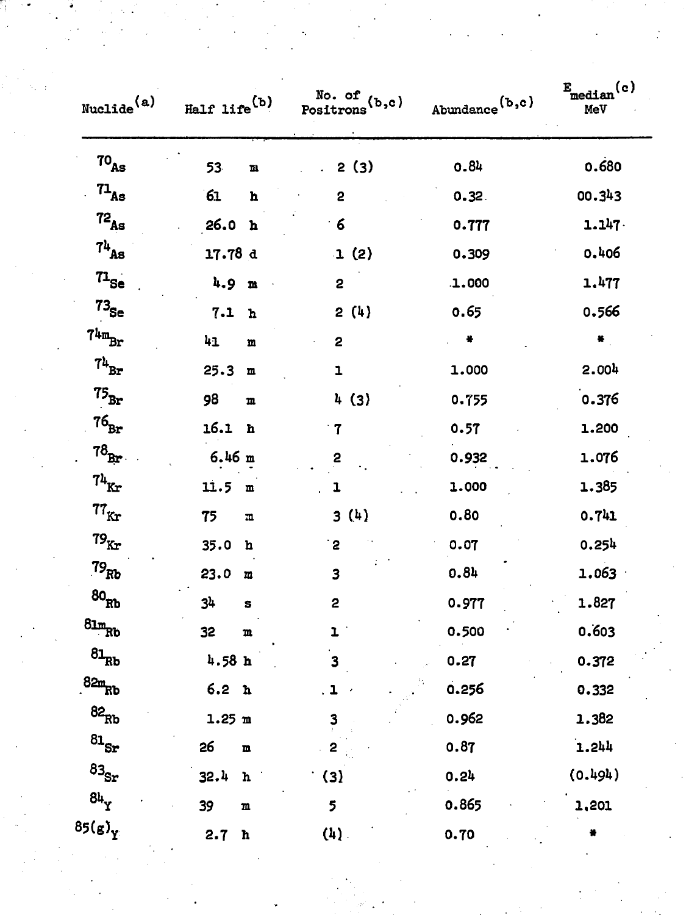|                             |                               |                                            |                            | $E_{\text{median}}(c)$ |
|-----------------------------|-------------------------------|--------------------------------------------|----------------------------|------------------------|
| Nuclide <sup>(a)</sup>      | Half life <sup>(b)</sup>      | No. of (b,c)<br>Positrons <sup>(b,c)</sup> | Abundance <sup>(b,c)</sup> | MeV                    |
| 70 <sub>As</sub>            | 53<br>$\mathbf m$             | 2(3)                                       | 0.84                       | 0.680                  |
| 71 <sub>As</sub>            | 61<br>$\, {\bf h}$            | $\overline{\mathbf{c}}$                    | 0.32.                      | 00.343                 |
| $\mathbf{^{72}_{As}}$       | 26.0 h                        | $\boldsymbol{6}$                           | 0.777                      | 1.147.                 |
| $7^{\rm h}{}_{\rm As}$      | 17.78 d                       | 1(2)                                       | 0.309                      | 0.406                  |
| $n_{\rm Se}$                | 4.9<br>$\mathbf{m}$           | 2                                          | .1.000                     | 1.477                  |
| $73_{\rm Se}$               | 7.1<br>${\bf h}$              | 2(4)                                       | 0.65                       | 0.566                  |
| $74m_{\rm Br}$              | $\mathbf{h}_1$<br>$\mathbf m$ | $\overline{\mathbf{c}}$                    |                            | $\pmb{\ast}$           |
| $74\rm_{Br}$                | 25.3<br>$\mathbf m$           | $\mathbf{1}$                               | 1.000                      | 2.004                  |
| $\mathbf{75}_{\texttt{Br}}$ | 98<br>${\bf m}$               | 4(3)                                       | 0.755                      | 0.376                  |
| $76_{\mathtt{Br}}$          | 16.1 h                        | $\mathbf{7}$                               | 0.57                       | 1.200                  |
| $78_{\text{Br}}$ .          | $6.46$ m                      | 2                                          | 0.932                      | 1.076                  |
| $74\rm_{Kr}$                | 11.5 m                        | $\mathbf{1}$                               | 1.000                      | 1.385                  |
| $77_{\rm Kr}$               | 75<br>$\overline{\mathbf{u}}$ | 3(4)                                       | 0.80                       | 0.741                  |
| $79_{\rm Kr}$               | 35.0 h                        | $\cdot$ 2                                  | 0.07                       | 0.254                  |
| $79_{Rb}$                   | 23.0 m                        | 3                                          | 0.84                       | 1.063                  |
| $^{80}\!$ Rb                | 34<br>S                       | 2                                          | 0.977                      | 1.827                  |
| $81mRb}$                    | 32<br>$\mathbf m$             | $\mathbf{L}$                               | 0.500                      | 0.603                  |
| $\mathbf{81_{Rb}}$          | 4.58h                         | 3                                          | 0.27                       | 0.372                  |
| $82m$ <sub>Rb</sub>         | 6.2 <sub>h</sub>              | $\blacksquare$                             | 0.256                      | 0.332                  |
| $\rm ^{82}Rb$               | 1.25 m                        | $\mathbf{3}$                               | 0.962                      | 1.382                  |
| $\mathrm{^{81}Sr}$          | 26<br>$\mathbf{m}$            | 2                                          | 0.87                       | 1.244                  |
| $\mathbf{83_{Sr}}$          | 32.4 h                        | $\cdot$ (3)                                | 0.24                       | (0.494)                |
| $8h_y$                      | 39<br>$\mathbf m$             | 5                                          | 0.865                      | 1,201                  |
| $85(g)_{Y}$                 | 2.7 h                         | $(4)$ .                                    | 0.70                       |                        |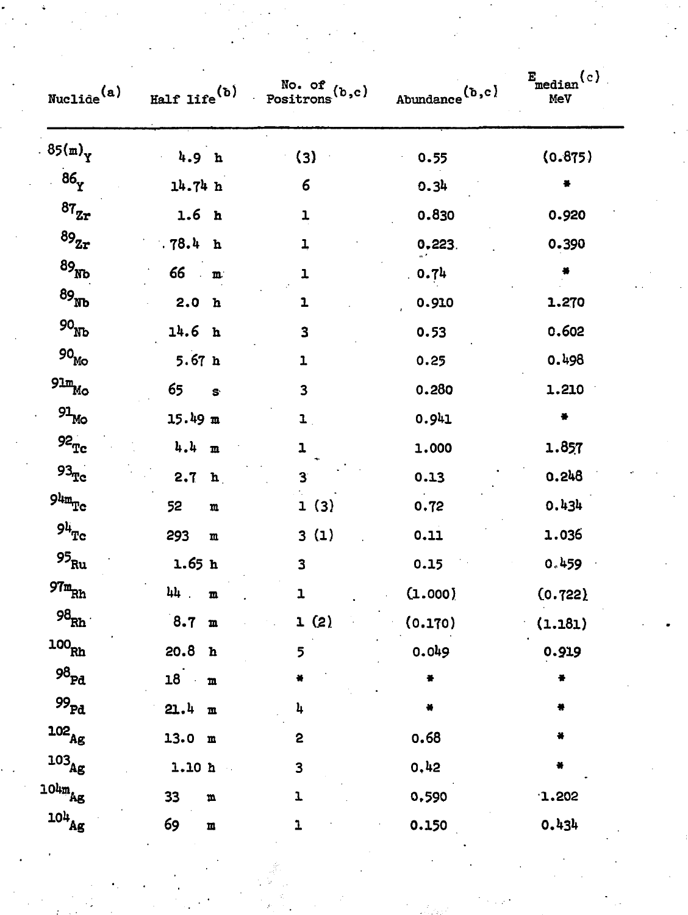| $\texttt{Nucle}(a)$                              |                          | Half life <sup>(b)</sup> $\frac{No. of}{Positrons}(b,c)$ | Abundance $(b, c)$   | $E_{\text{median}}(c)$<br>MeV |
|--------------------------------------------------|--------------------------|----------------------------------------------------------|----------------------|-------------------------------|
| $.85(m)_{Y}$                                     | 4.9 <sub>h</sub>         | (3)                                                      | 0.55                 | (0.875)                       |
| 86 <sub>Y</sub>                                  | 14.74 h                  | 6                                                        | 0.34                 | 푷                             |
| $87_{\rm Zr}$                                    | 1.6 <sub>h</sub>         | ı                                                        | 0.830                | 0.920                         |
| $89_{\rm Zr}$                                    | .78.4 h                  | 1                                                        | 0.223.               | 0.390                         |
| $^{89}$ Nb                                       | $66 \cdot m$             | ı                                                        | 0.74                 |                               |
| 89 <sub>Nb</sub>                                 | 2.0 h                    | 1                                                        | 0.910                | 1.270                         |
| 90 <sub>ND</sub>                                 | 14.6 <sub>h</sub>        | 3                                                        | 0.53                 | 0.602                         |
| $90_{\rm Mo}$                                    | 5.67 <sub>h</sub>        | 1                                                        | 0.25                 | 0.498                         |
| $91m$ $MO$                                       | 65<br>$\mathbf{s}$       | 3                                                        | 0.280                | 1.210                         |
| $\mathfrak{g}_{\mathbb{L}_{\mathsf{MO}}}$        | $15.49 \text{ m}$        | $\mathbf{L}$ .                                           | 0.941                | $\bullet$                     |
| $92^{\circ}_{\rm Tc}$                            | $l_1, l_1 \dots$         | ı                                                        | 1.000                | 1.857                         |
| $93\textnormal{pc}$                              | 2.7 h                    | $\overline{\mathbf{3}}$                                  | 0.13                 | 0.248                         |
| $\mathtt{Q4m_{Tc}}$                              | 52<br>$\mathbf m$        | 1(3)                                                     | 0.72                 | 0.434                         |
| $94^{\circ}_{\mathrm{Tc}}$                       | 293<br>$\mathbf m$       | 3(1)                                                     | 0.11                 | 1.036                         |
| 95 $_{\rm Ru}$                                   | 1.65 h                   | 3                                                        | 0.15                 | 0.459                         |
| $\mathop{{\rm \mathfrak{R}m}}\nolimits_{\rm Rh}$ | 44<br>$\mathbf m$        | ı                                                        | (1.000)              | (0.722)                       |
| $98_{\rm Rh}$                                    | 8.7 m                    | 1(2)                                                     | (0.170)              | (1.181)                       |
| 100 <sub>Rh</sub>                                | 20.8 h                   | 5                                                        | 0.049                | 0.919                         |
| $98_{\rm Pd}$                                    | $18$ m                   |                                                          | $\frac{1}{\sqrt{2}}$ | ¥                             |
| $^{99}\rm{Pa}$                                   | 21.4 m                   | $\mathbf{h}$                                             | ×                    |                               |
| $^{102}\!_{\rm Ag}$                              | 13.0 m                   | 2                                                        | 0.68                 |                               |
| $^{103}\!_{\rm Ag}$                              | 1.10 h                   | 3                                                        | 0,42                 | ₩                             |
| $10\text{km}$ Ag                                 | 33<br>$\pmb{\mathrm{m}}$ | T                                                        | 0.590                | 1.202                         |
| $^{10\text{h}}\text{Ag}$                         | 69<br>$\mathbf n$        | ı                                                        | 0.150                | 0.434                         |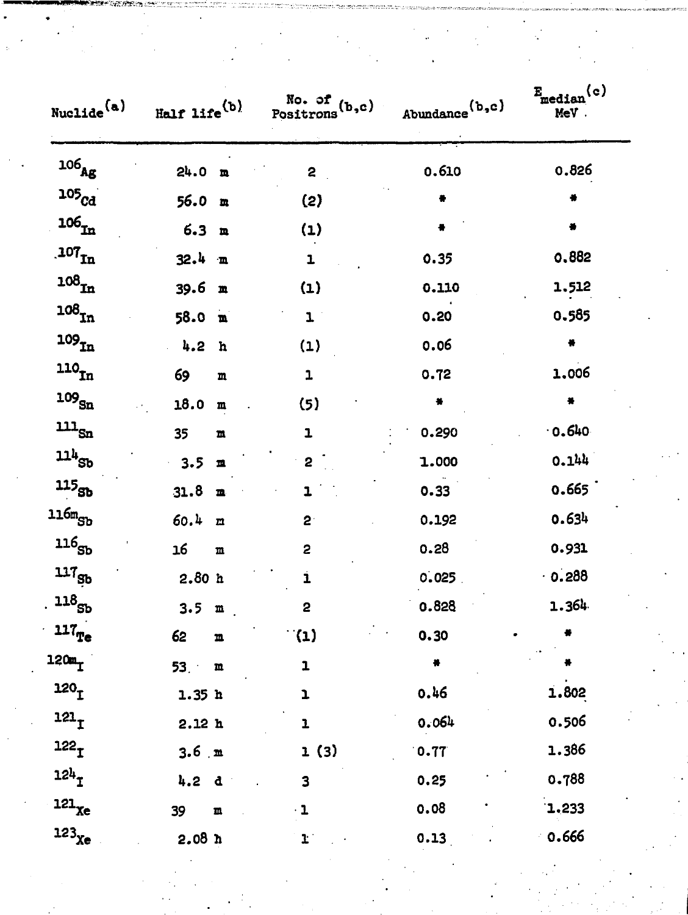| Nuclide <sup>(a)</sup>                         | Half life $(b)$              | No. of (b,c)<br>Positrons <sup>(b,c)</sup> | Abundance $(b, c)$ | $E_{\text{median}}(c)$<br>MeV. |
|------------------------------------------------|------------------------------|--------------------------------------------|--------------------|--------------------------------|
| $^{106}\!{\rm Ag}$                             | 24.0 <sub>m</sub>            | $\mathbf{2}$                               | 0.610              | 0.826                          |
| 105 <sub>cd</sub>                              | 56.0 m                       | (2)                                        |                    | ۰                              |
| $\mathbf{106_{In}}$                            | 6.3 <sub>m</sub>             | (1)                                        |                    |                                |
| $\mathbf{.107_{In}}$                           | 32.4 m                       | ı                                          | 0.35               | 0.882                          |
| $108_{\mbox{\small\sc In}}$                    | 39.6 m                       | (1)                                        | 0.110              | 1.512                          |
| $108_{\mbox{\scriptsize In}}$                  | 58.0 m                       | $\mathbf{I}$                               | 0.20               | 0.585                          |
| $^{109}$ $\rm \tilde{m}$                       | 4.2<br>h                     | (1)                                        | 0.06               | ₩                              |
| $^{\mathtt{110}}\! \mathtt{In}$                | 69<br>m                      | $\mathbf{1}$                               | 0.72               | 1.006                          |
| $^{109}\!$ sn                                  | 18.0<br>$\mathbf m$          | (5)                                        | 巻                  | 통                              |
| $\mathbf{m}_{\text{Sn}}$                       | 35<br>${\bf m}$              | $\mathbf{1}$                               | 0.290              | $-0.640$                       |
| $114_{Sb}$                                     | 3.5<br>$\blacksquare$        | $\mathbf{2}$                               | 1.000              | 0.144                          |
| $\boldsymbol{^{115}\mathrm{sb}}$               | 31.8<br>$\blacksquare$       | 1                                          | 0.33               | 0.665                          |
| 116m <sub>Sb</sub>                             | 60.4<br>$\mathbf{n}$         | $2^{\cdot}$                                | 0.192              | 0.634                          |
| $\mathtt{ll}\mathtt{6}_{\mathtt{S}\mathtt{b}}$ | 16<br>$\mathbf m$            | $\overline{c}$                             | 0.28               | 0.931                          |
| $117_{Sb}$                                     | 2.80h                        | i                                          | 0.025              | 0.288                          |
| $^{\mathtt{ll8}}_{\mathtt{S} \mathtt{b}}$      | 3.5 m                        | 2                                          | 0.828              | 1.364                          |
| $\mathbf{117}_\mathrm{Te}$                     | 62<br>$\mathbf m$            | $\mathfrak{a}(\mathfrak{p})$               | 0.30               |                                |
| 120m <sub>T</sub>                              | 53 <sub>1</sub><br>${\bf m}$ | $\mathbf 1$                                |                    |                                |
| 120 <sub>1</sub>                               | 1.35h                        | ı                                          | 0.46               | 1.802                          |
| 121 <sub>T</sub>                               | 2.12h                        | ı                                          | 0.064              | 0.506                          |
| 122 <sub>T</sub>                               | $3.6 \text{ m}$              | 1(3)                                       | 0.77               | 1.386                          |
| 124 <sub>T</sub>                               | 4.2 d                        | 3                                          | 0.25               | 0.788                          |
| $^{121}$ $\!\mathrm{xe}$                       | 39<br>$\pmb{\mathbb{m}}$     | $\cdot$ 1                                  | 0.08               | 1.233                          |
| $123$ <sub>Xe</sub>                            | 2.08 <sub>n</sub>            | $\mathbf{r}$                               | 0.13               | 0.666                          |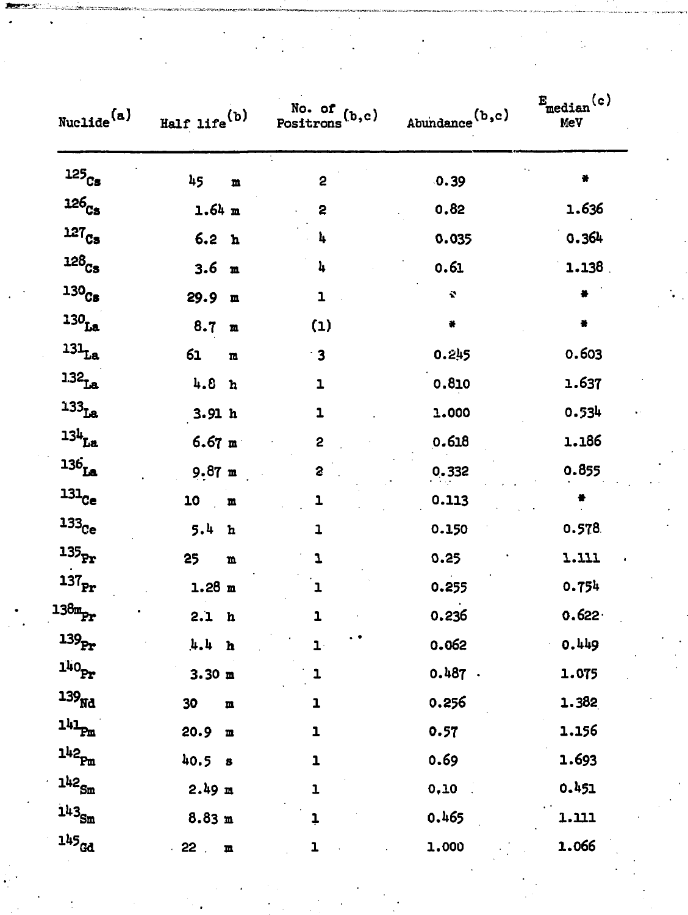| Nuclide <sup>(a)</sup> | Half life <sup>(b)</sup>              | No. of $(b, c)$<br>Positrons | Abundance $(b, c)$ | $E_{median}(c)$<br>MeV |
|------------------------|---------------------------------------|------------------------------|--------------------|------------------------|
| $^{125}\!{\rm Cs}$     | 45<br>$\mathbf m$                     | 2                            | 0.39               | ۰                      |
| 126 <sub>Cs</sub>      | $1.64$ m                              | 2                            | 0.82               | 1.636                  |
| $127_{Cs}$             | 6.2 <sub>h</sub>                      | 4                            | 0.035              | 0.364                  |
| $128_{Cs}$             | 3.6<br>$\mathbf{m}$                   | 4                            | 0.61               | $1.138$ .              |
| 130 <sub>Cs</sub>      | 29.9<br>$\mathbf m$                   | 1                            | $\mathbf{r}$       |                        |
| $130$ La               | 8.7<br>$\mathbf{n}$                   | (1)                          | ₩                  | $\bullet$              |
| $^{131}$ La            | 61<br>$\mathbf{n}$                    | $\cdot$ 3                    | 0.245              | 0.603                  |
| 1.32 <sub>La</sub>     | 4.8<br>h                              | ı                            | 0.810              | 1.637                  |
| $133$ La               | 3.91h                                 | $\mathbf{1}$                 | 1.000              | 0.534                  |
| $13h$ La               | $6.67$ m                              | 2                            | 0.618              | 1.186                  |
| $136$ La               | 9.87 m                                | 2                            | 0.332              | 0.855                  |
| $^{131}$ $\rm{Ce}$     | 10<br>$\mathbf m$                     | T                            | 0.113              |                        |
| $133$ <sub>Ce</sub>    | 5.4<br>$\mathbf h$                    | 1                            | 0.150              | 0.578                  |
| $135_{\text{Pr}}$      | 25<br>$\mathbf{n}$                    | T                            | 0.25               | 1.111                  |
| $^{137}\!_{\rm Pr}$    | $1.28$ m                              | ı                            | 0.255              | 0.754                  |
| $138m$ <sub>Pr</sub>   | 2.1 <sub>h</sub>                      | ı                            | 0.236              | $0.622 -$              |
| 139 <sub>Pr</sub>      | 4.4<br>h                              | $\mathbf{1}$                 | 0.062              | 0.449                  |
| $1^{110}\text{Pr}$     | 3.30 m                                | 1                            | $0.487$ .          | 1.075                  |
| 139 <sub>Nd</sub>      | 30<br>$\mathbf m$                     | 1                            | 0.256              | 1.382                  |
| $141_{\text{Pm}}$      | 20.9 m                                | $\mathbf{1}$                 | 0.57               | 1.156                  |
| $1^{1/2}$ Pm           | 40.5 <sub>5</sub>                     | $\mathbf{1}$                 | 0.69               | 1.693                  |
| $142$ $\mathrm{Sm}$    | $2.49$ m                              | 1                            | 0,10               | 0.451                  |
| 143 <sub>Sm</sub>      | 8.83 m                                | ļ                            | 0.465              | 1.111                  |
| $145$ <sub>Gd</sub>    | 22 <sub>2</sub><br>$\pmb{\mathrm{m}}$ | $\mathbf{1}$                 | 1.000              | 1.066                  |

 $\frac{1}{2} \frac{1}{2}$ 

 $\frac{1}{2} \frac{1}{2} \frac{1}{2} \frac{1}{2} \frac{1}{2}$ 

 $\label{eq:1} \begin{split} \mathcal{Q}^{(1)}_{\text{c}}\Sigma_{\text{D}}\alpha_{\text{D}}\alpha_{\text{F}}\,,\\ \downarrow \end{split}$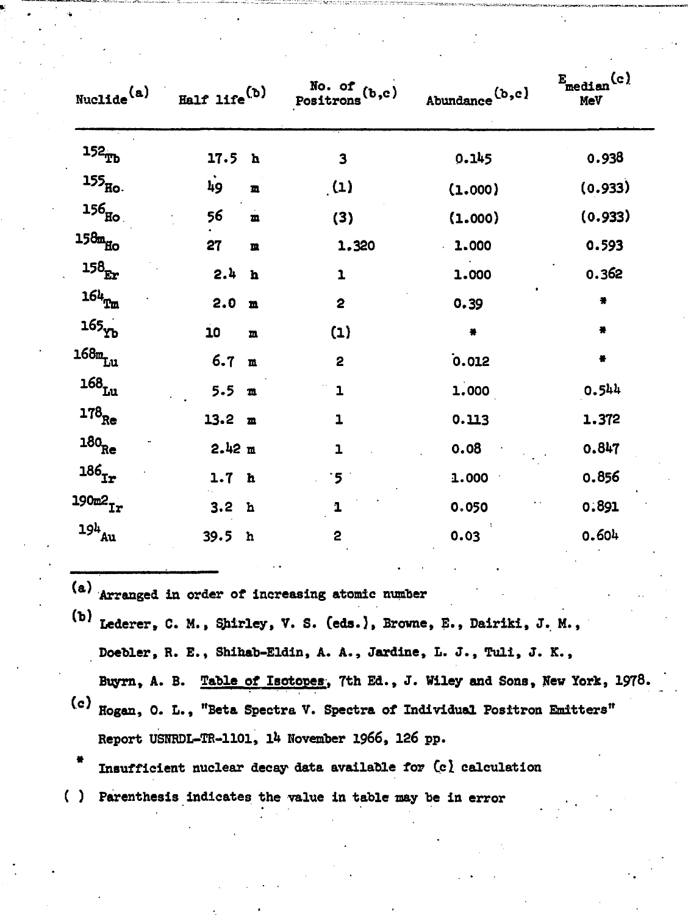| Nucle <sup>(a)</sup>         | Half life $^{(b)}$ |              | No. of (b,c)<br>Positrons <sup>(b,c)</sup> | Abundance $(b, c)$ | $E_{\text{median}}(c)$<br><b>MeV</b> |
|------------------------------|--------------------|--------------|--------------------------------------------|--------------------|--------------------------------------|
| $152_{\text{TB}}$            | 17.5 <sub>h</sub>  |              | 3                                          | 0.145              | 0.938                                |
| $155$ Ho.                    | 49                 | 鱼            | (1)                                        | (1.000)            | (0.933)                              |
| $156$ Ho                     | 56                 | $\mathbf{m}$ | (3)                                        | (1.000)            | (0.933)                              |
| $158m_{H_O}$                 | 27                 | m            | 1.320                                      | 1.000              | 0.593                                |
| $^{158}\! {\rm Fr}$          | 2.4                | $\mathbf{h}$ | $\mathbf{1}$                               | 1.000              | 0.362                                |
| $164_{\texttt{Ta}}$          | 2.0                | m            | $\overline{\mathbf{c}}$                    | 0.39               | $\bullet$                            |
| $165$ $Yb$                   | 10                 | $\mathbf{m}$ | (1)                                        | $\bullet$          | $\bullet$                            |
| $168m$ Lu                    | 6.7 m              |              | 2                                          | 0.012              | 품                                    |
| $\mathtt{168}_{\mathtt{Lu}}$ | 5.5 m              |              | $\mathbf{1}$                               | 1.000              | 0.544                                |
| $178$ <sub>Re</sub>          | $13.2 \text{ m}$   |              | $\mathbf{1}$                               | 0.113              | 1.372                                |
| $^{180}\!$ $\!$              | 2.42 m             |              | $\overline{1}$                             | 0.08               | 0.847                                |
| $\bf{186}_{Tr}$              | 1.7 <sub>h</sub>   |              | $\cdot$ 5 -                                | 1.000              | 0.856                                |
| $190m2$ <sub>Ir</sub>        | 3.2 <sub>h</sub>   |              | 1                                          | 0.050              | 0.891                                |
| $^{19h}\!_{\rm Au}$          | 39.5<br>h          |              | 2                                          | 0.03               | 0.604                                |

**Arranged in order of increasing atomic number •**

- **\* ' Lederer, C. M., Shirley, V. S. (eds.), Browne, E., Dairiki, J. M., Doebler, R. E., Shihab-Eldin, A. A., Jardine, L. J., Tuli, J. K., Buyrn, A. B. Table of Isotopes, 7th Ed., J. Wiley and Sons, New York, 1978.**
- **Hogan, 0. L., "Beta Spectra V. Spectra of Individual Positron Emitters" Report USNRDL-TR-1101, ik November 1966, 126 pp.**

**Insufficient nuclear decay- data available for Ccl calculation**

**( ) Parenthesis indicates the value in table nay be in error**